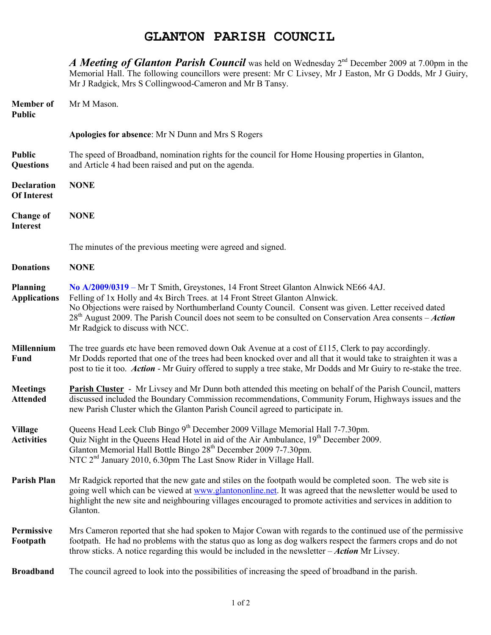## **GLANTON PARISH COUNCIL**

*A Meeting of Glanton Parish Council* was held on Wednesday 2<sup>nd</sup> December 2009 at 7.00pm in the Memorial Hall. The following councillors were present: Mr C Livsey, Mr J Easton, Mr G Dodds, Mr J Guiry, Mr J Radgick, Mrs S Collingwood-Cameron and Mr B Tansy. **Member of Mr M Mason. Public Apologies for absence**: Mr N Dunn and Mrs S Rogers **Public** The speed of Broadband, nomination rights for the council for Home Housing properties in Glanton, **Questions** and Article 4 had been raised and put on the agenda. **Declaration NONE Of Interest Change of NONE Interest**  The minutes of the previous meeting were agreed and signed. **Donations NONE Planning No A/2009/0319** – Mr T Smith, Greystones, 14 Front Street Glanton Alnwick NE66 4AJ. **Applications** Felling of 1x Holly and 4x Birch Trees. at 14 Front Street Glanton Alnwick. No Objections were raised by Northumberland County Council. Consent was given. Letter received dated 28th August 2009. The Parish Council does not seem to be consulted on Conservation Area consents – *Action* Mr Radgick to discuss with NCC. **Millennium** The tree guards etc have been removed down Oak Avenue at a cost of £115, Clerk to pay accordingly. **Fund** Mr Dodds reported that one of the trees had been knocked over and all that it would take to straighten it was a post to tie it too. *Action* - Mr Guiry offered to supply a tree stake, Mr Dodds and Mr Guiry to re-stake the tree. **Meetings** Parish Cluster - Mr Livsey and Mr Dunn both attended this meeting on behalf of the Parish Council, matters<br>Attended discussed included the Boundary Commission recommendations Community Forum Highways issues and **Attended** discussed included the Boundary Commission recommendations, Community Forum, Highways issues and the new Parish Cluster which the Glanton Parish Council agreed to participate in. **Village** Queens Head Leek Club Bingo 9<sup>th</sup> December 2009 Village Memorial Hall 7-7.30pm. Activities Quiz Night in the Queens Head Hotel in aid of the Air Ambulance, 19<sup>th</sup> December 2009. Glanton Memorial Hall Bottle Bingo 28<sup>th</sup> December 2009 7-7.30pm. NTC 2<sup>nd</sup> January 2010, 6.30pm The Last Snow Rider in Village Hall. **Parish Plan** Mr Radgick reported that the new gate and stiles on the footpath would be completed soon. The web site is going well which can be viewed at www.glantononline.net. It was agreed that the newsletter would be used to highlight the new site and neighbouring villages encouraged to promote activities and services in addition to Glanton. **Permissive** Mrs Cameron reported that she had spoken to Major Cowan with regards to the continued use of the permissive

**Footpath** footpath. He had no problems with the status quo as long as dog walkers respect the farmers crops and do not throw sticks. A notice regarding this would be included in the newsletter – *Action* Mr Livsey.

**Broadband** The council agreed to look into the possibilities of increasing the speed of broadband in the parish.